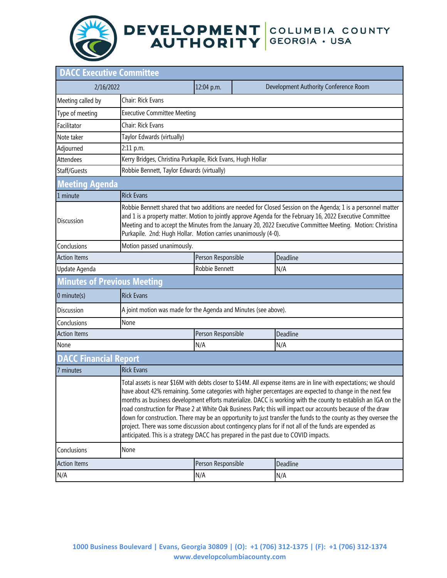## DEVELOPMENT COLUMBIA COUNTY<br>AUTHORITY GEORGIA · USA

| <b>DACC Executive Committee</b>    |                                                                                                                                                                                                                                                                                                                                                                                                                                                                                                                                                                                                                                                                                                                                                                                    |                    |  |                                       |  |  |
|------------------------------------|------------------------------------------------------------------------------------------------------------------------------------------------------------------------------------------------------------------------------------------------------------------------------------------------------------------------------------------------------------------------------------------------------------------------------------------------------------------------------------------------------------------------------------------------------------------------------------------------------------------------------------------------------------------------------------------------------------------------------------------------------------------------------------|--------------------|--|---------------------------------------|--|--|
| 2/16/2022                          |                                                                                                                                                                                                                                                                                                                                                                                                                                                                                                                                                                                                                                                                                                                                                                                    | 12:04 p.m.         |  | Development Authority Conference Room |  |  |
| Meeting called by                  | Chair: Rick Evans                                                                                                                                                                                                                                                                                                                                                                                                                                                                                                                                                                                                                                                                                                                                                                  |                    |  |                                       |  |  |
| Type of meeting                    | <b>Executive Committee Meeting</b>                                                                                                                                                                                                                                                                                                                                                                                                                                                                                                                                                                                                                                                                                                                                                 |                    |  |                                       |  |  |
| Facilitator                        | Chair: Rick Evans                                                                                                                                                                                                                                                                                                                                                                                                                                                                                                                                                                                                                                                                                                                                                                  |                    |  |                                       |  |  |
| Note taker                         | Taylor Edwards (virtually)                                                                                                                                                                                                                                                                                                                                                                                                                                                                                                                                                                                                                                                                                                                                                         |                    |  |                                       |  |  |
| Adjourned                          | 2:11 p.m.                                                                                                                                                                                                                                                                                                                                                                                                                                                                                                                                                                                                                                                                                                                                                                          |                    |  |                                       |  |  |
| <b>Attendees</b>                   | Kerry Bridges, Christina Purkapile, Rick Evans, Hugh Hollar                                                                                                                                                                                                                                                                                                                                                                                                                                                                                                                                                                                                                                                                                                                        |                    |  |                                       |  |  |
| Staff/Guests                       | Robbie Bennett, Taylor Edwards (virtually)                                                                                                                                                                                                                                                                                                                                                                                                                                                                                                                                                                                                                                                                                                                                         |                    |  |                                       |  |  |
| <b>Meeting Agenda</b>              |                                                                                                                                                                                                                                                                                                                                                                                                                                                                                                                                                                                                                                                                                                                                                                                    |                    |  |                                       |  |  |
| 1 minute                           | <b>Rick Evans</b>                                                                                                                                                                                                                                                                                                                                                                                                                                                                                                                                                                                                                                                                                                                                                                  |                    |  |                                       |  |  |
| <b>Discussion</b>                  | Robbie Bennett shared that two additions are needed for Closed Session on the Agenda; 1 is a personnel matter<br>and 1 is a property matter. Motion to jointly approve Agenda for the February 16, 2022 Executive Committee<br>Meeting and to accept the Minutes from the January 20, 2022 Executive Committee Meeting. Motion: Christina<br>Purkapile. 2nd: Hugh Hollar. Motion carries unanimously (4-0).                                                                                                                                                                                                                                                                                                                                                                        |                    |  |                                       |  |  |
| Conclusions                        | Motion passed unanimously.                                                                                                                                                                                                                                                                                                                                                                                                                                                                                                                                                                                                                                                                                                                                                         |                    |  |                                       |  |  |
| <b>Action Items</b>                |                                                                                                                                                                                                                                                                                                                                                                                                                                                                                                                                                                                                                                                                                                                                                                                    | Person Responsible |  | Deadline                              |  |  |
| Update Agenda                      |                                                                                                                                                                                                                                                                                                                                                                                                                                                                                                                                                                                                                                                                                                                                                                                    | Robbie Bennett     |  | N/A                                   |  |  |
| <b>Minutes of Previous Meeting</b> |                                                                                                                                                                                                                                                                                                                                                                                                                                                                                                                                                                                                                                                                                                                                                                                    |                    |  |                                       |  |  |
| 0 minute(s)                        | <b>Rick Evans</b>                                                                                                                                                                                                                                                                                                                                                                                                                                                                                                                                                                                                                                                                                                                                                                  |                    |  |                                       |  |  |
| Discussion                         | A joint motion was made for the Agenda and Minutes (see above).                                                                                                                                                                                                                                                                                                                                                                                                                                                                                                                                                                                                                                                                                                                    |                    |  |                                       |  |  |
| Conclusions                        | None                                                                                                                                                                                                                                                                                                                                                                                                                                                                                                                                                                                                                                                                                                                                                                               |                    |  |                                       |  |  |
| <b>Action Items</b>                |                                                                                                                                                                                                                                                                                                                                                                                                                                                                                                                                                                                                                                                                                                                                                                                    | Person Responsible |  | Deadline                              |  |  |
| None                               |                                                                                                                                                                                                                                                                                                                                                                                                                                                                                                                                                                                                                                                                                                                                                                                    | N/A                |  | N/A                                   |  |  |
| <b>DACC Financial Report</b>       |                                                                                                                                                                                                                                                                                                                                                                                                                                                                                                                                                                                                                                                                                                                                                                                    |                    |  |                                       |  |  |
| 7 minutes                          | <b>Rick Evans</b>                                                                                                                                                                                                                                                                                                                                                                                                                                                                                                                                                                                                                                                                                                                                                                  |                    |  |                                       |  |  |
|                                    | Total assets is near \$16M with debts closer to \$14M. All expense items are in line with expectations; we should<br>have about 42% remaining. Some categories with higher percentages are expected to change in the next few<br>months as business development efforts materialize. DACC is working with the county to establish an IGA on the<br>road construction for Phase 2 at White Oak Business Park; this will impact our accounts because of the draw<br>down for construction. There may be an opportunity to just transfer the funds to the county as they oversee the<br>project. There was some discussion about contingency plans for if not all of the funds are expended as<br>anticipated. This is a strategy DACC has prepared in the past due to COVID impacts. |                    |  |                                       |  |  |
| Conclusions                        | None                                                                                                                                                                                                                                                                                                                                                                                                                                                                                                                                                                                                                                                                                                                                                                               |                    |  |                                       |  |  |
| <b>Action Items</b>                |                                                                                                                                                                                                                                                                                                                                                                                                                                                                                                                                                                                                                                                                                                                                                                                    | Person Responsible |  | Deadline                              |  |  |
| N/A                                |                                                                                                                                                                                                                                                                                                                                                                                                                                                                                                                                                                                                                                                                                                                                                                                    | N/A                |  | N/A                                   |  |  |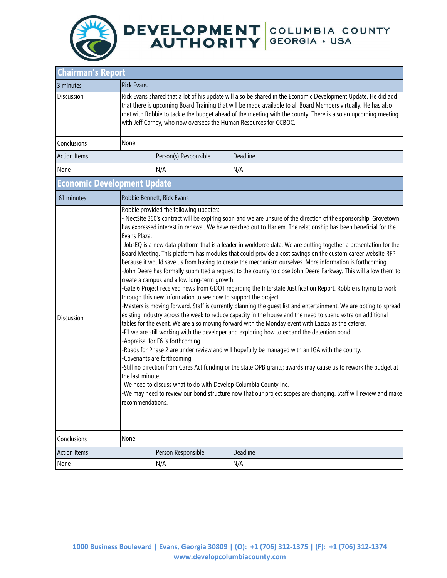

| <b>Chairman's Report</b>           |                                                                                                                                                                                                                                                                                                                                                                                                                                                                                                                                                                                                                                                                                                                                                                                                                                                                                                                                                                                                                                                                                                                                                                                                                                                                                                                                                                                                                                                                                                                                                                                                                                                                                                                                                                                                                                                                                                                                                                     |                       |          |  |  |  |
|------------------------------------|---------------------------------------------------------------------------------------------------------------------------------------------------------------------------------------------------------------------------------------------------------------------------------------------------------------------------------------------------------------------------------------------------------------------------------------------------------------------------------------------------------------------------------------------------------------------------------------------------------------------------------------------------------------------------------------------------------------------------------------------------------------------------------------------------------------------------------------------------------------------------------------------------------------------------------------------------------------------------------------------------------------------------------------------------------------------------------------------------------------------------------------------------------------------------------------------------------------------------------------------------------------------------------------------------------------------------------------------------------------------------------------------------------------------------------------------------------------------------------------------------------------------------------------------------------------------------------------------------------------------------------------------------------------------------------------------------------------------------------------------------------------------------------------------------------------------------------------------------------------------------------------------------------------------------------------------------------------------|-----------------------|----------|--|--|--|
| 3 minutes                          | <b>Rick Evans</b>                                                                                                                                                                                                                                                                                                                                                                                                                                                                                                                                                                                                                                                                                                                                                                                                                                                                                                                                                                                                                                                                                                                                                                                                                                                                                                                                                                                                                                                                                                                                                                                                                                                                                                                                                                                                                                                                                                                                                   |                       |          |  |  |  |
| <b>Discussion</b>                  | Rick Evans shared that a lot of his update will also be shared in the Economic Development Update. He did add<br>that there is upcoming Board Training that will be made available to all Board Members virtually. He has also<br>met with Robbie to tackle the budget ahead of the meeting with the county. There is also an upcoming meeting<br>with Jeff Carney, who now oversees the Human Resources for CCBOC.                                                                                                                                                                                                                                                                                                                                                                                                                                                                                                                                                                                                                                                                                                                                                                                                                                                                                                                                                                                                                                                                                                                                                                                                                                                                                                                                                                                                                                                                                                                                                 |                       |          |  |  |  |
| Conclusions                        | None                                                                                                                                                                                                                                                                                                                                                                                                                                                                                                                                                                                                                                                                                                                                                                                                                                                                                                                                                                                                                                                                                                                                                                                                                                                                                                                                                                                                                                                                                                                                                                                                                                                                                                                                                                                                                                                                                                                                                                |                       |          |  |  |  |
| <b>Action Items</b>                |                                                                                                                                                                                                                                                                                                                                                                                                                                                                                                                                                                                                                                                                                                                                                                                                                                                                                                                                                                                                                                                                                                                                                                                                                                                                                                                                                                                                                                                                                                                                                                                                                                                                                                                                                                                                                                                                                                                                                                     | Person(s) Responsible | Deadline |  |  |  |
| None                               |                                                                                                                                                                                                                                                                                                                                                                                                                                                                                                                                                                                                                                                                                                                                                                                                                                                                                                                                                                                                                                                                                                                                                                                                                                                                                                                                                                                                                                                                                                                                                                                                                                                                                                                                                                                                                                                                                                                                                                     | N/A                   | N/A      |  |  |  |
| <b>Economic Development Update</b> |                                                                                                                                                                                                                                                                                                                                                                                                                                                                                                                                                                                                                                                                                                                                                                                                                                                                                                                                                                                                                                                                                                                                                                                                                                                                                                                                                                                                                                                                                                                                                                                                                                                                                                                                                                                                                                                                                                                                                                     |                       |          |  |  |  |
| 61 minutes                         | Robbie Bennett, Rick Evans                                                                                                                                                                                                                                                                                                                                                                                                                                                                                                                                                                                                                                                                                                                                                                                                                                                                                                                                                                                                                                                                                                                                                                                                                                                                                                                                                                                                                                                                                                                                                                                                                                                                                                                                                                                                                                                                                                                                          |                       |          |  |  |  |
| <b>Discussion</b>                  | Robbie provided the following updates:<br>- NextSite 360's contract will be expiring soon and we are unsure of the direction of the sponsorship. Grovetown<br>has expressed interest in renewal. We have reached out to Harlem. The relationship has been beneficial for the<br>Evans Plaza.<br>-JobsEQ is a new data platform that is a leader in workforce data. We are putting together a presentation for the<br>Board Meeting. This platform has modules that could provide a cost savings on the custom career website RFP<br>because it would save us from having to create the mechanism ourselves. More information is forthcoming.<br>-John Deere has formally submitted a request to the county to close John Deere Parkway. This will allow them to<br>create a campus and allow long-term growth.<br>-Gate 6 Project received news from GDOT regarding the Interstate Justification Report. Robbie is trying to work<br>through this new information to see how to support the project.<br>-Masters is moving forward. Staff is currently planning the guest list and entertainment. We are opting to spread<br>existing industry across the week to reduce capacity in the house and the need to spend extra on additional<br>tables for the event. We are also moving forward with the Monday event with Laziza as the caterer.<br>-F1 we are still working with the developer and exploring how to expand the detention pond.<br>-Appraisal for F6 is forthcoming.<br>-Roads for Phase 2 are under review and will hopefully be managed with an IGA with the county.<br>-Covenants are forthcoming.<br>-Still no direction from Cares Act funding or the state OPB grants; awards may cause us to rework the budget at<br>the last minute.<br>-We need to discuss what to do with Develop Columbia County Inc.<br>We may need to review our bond structure now that our project scopes are changing. Staff will review and make<br>recommendations. |                       |          |  |  |  |
| Conclusions                        | None                                                                                                                                                                                                                                                                                                                                                                                                                                                                                                                                                                                                                                                                                                                                                                                                                                                                                                                                                                                                                                                                                                                                                                                                                                                                                                                                                                                                                                                                                                                                                                                                                                                                                                                                                                                                                                                                                                                                                                |                       |          |  |  |  |
| <b>Action Items</b>                |                                                                                                                                                                                                                                                                                                                                                                                                                                                                                                                                                                                                                                                                                                                                                                                                                                                                                                                                                                                                                                                                                                                                                                                                                                                                                                                                                                                                                                                                                                                                                                                                                                                                                                                                                                                                                                                                                                                                                                     | Person Responsible    | Deadline |  |  |  |
| None                               |                                                                                                                                                                                                                                                                                                                                                                                                                                                                                                                                                                                                                                                                                                                                                                                                                                                                                                                                                                                                                                                                                                                                                                                                                                                                                                                                                                                                                                                                                                                                                                                                                                                                                                                                                                                                                                                                                                                                                                     | N/A                   | N/A      |  |  |  |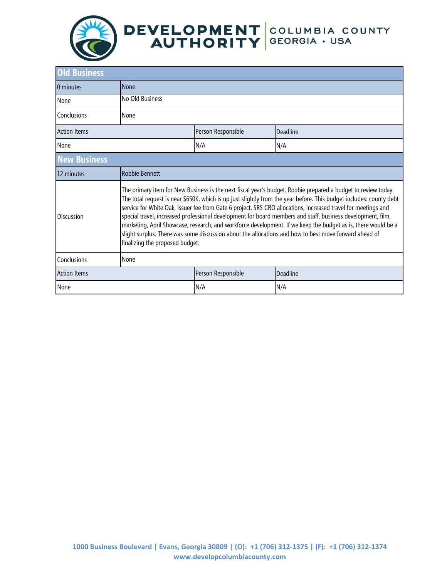

| <b>Old Business</b> |                                                                                                                                                                                                                                                                                                                                                                                                                                                                                                                                                                                                                                                                                                                                   |                    |          |  |  |
|---------------------|-----------------------------------------------------------------------------------------------------------------------------------------------------------------------------------------------------------------------------------------------------------------------------------------------------------------------------------------------------------------------------------------------------------------------------------------------------------------------------------------------------------------------------------------------------------------------------------------------------------------------------------------------------------------------------------------------------------------------------------|--------------------|----------|--|--|
| 0 minutes           | None                                                                                                                                                                                                                                                                                                                                                                                                                                                                                                                                                                                                                                                                                                                              |                    |          |  |  |
| None                | No Old Business                                                                                                                                                                                                                                                                                                                                                                                                                                                                                                                                                                                                                                                                                                                   |                    |          |  |  |
| Conclusions         | None                                                                                                                                                                                                                                                                                                                                                                                                                                                                                                                                                                                                                                                                                                                              |                    |          |  |  |
| <b>Action Items</b> |                                                                                                                                                                                                                                                                                                                                                                                                                                                                                                                                                                                                                                                                                                                                   | Person Responsible | Deadline |  |  |
| None                |                                                                                                                                                                                                                                                                                                                                                                                                                                                                                                                                                                                                                                                                                                                                   | N/A                | N/A      |  |  |
| <b>New Business</b> |                                                                                                                                                                                                                                                                                                                                                                                                                                                                                                                                                                                                                                                                                                                                   |                    |          |  |  |
| 12 minutes          | Robbie Bennett                                                                                                                                                                                                                                                                                                                                                                                                                                                                                                                                                                                                                                                                                                                    |                    |          |  |  |
| <b>Discussion</b>   | The primary item for New Business is the next fiscal year's budget. Robbie prepared a budget to review today.<br>The total request is near \$650K, which is up just slightly from the year before. This budget includes: county debt<br>service for White Oak, issuer fee from Gate 6 project, SRS CRO allocations, increased travel for meetings and<br>special travel, increased professional development for board members and staff, business development, film,<br>marketing, April Showcase, research, and workforce development. If we keep the budget as is, there would be a<br>slight surplus. There was some discussion about the allocations and how to best move forward ahead of<br>finalizing the proposed budget. |                    |          |  |  |
| Conclusions         | None                                                                                                                                                                                                                                                                                                                                                                                                                                                                                                                                                                                                                                                                                                                              |                    |          |  |  |
| <b>Action Items</b> |                                                                                                                                                                                                                                                                                                                                                                                                                                                                                                                                                                                                                                                                                                                                   | Person Responsible | Deadline |  |  |
| None                |                                                                                                                                                                                                                                                                                                                                                                                                                                                                                                                                                                                                                                                                                                                                   | N/A                | N/A      |  |  |